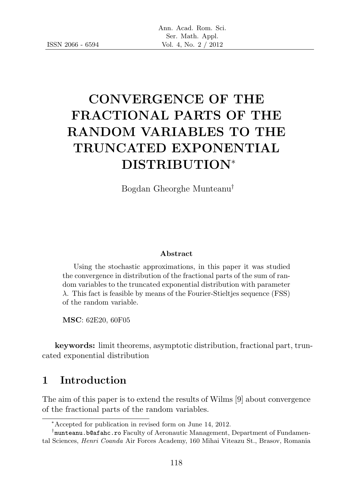# CONVERGENCE OF THE FRACTIONAL PARTS OF THE RANDOM VARIABLES TO THE TRUNCATED EXPONENTIAL DISTRIBUTION<sup>∗</sup>

Bogdan Gheorghe Munteanu†

#### Abstract

Using the stochastic approximations, in this paper it was studied the convergence in distribution of the fractional parts of the sum of random variables to the truncated exponential distribution with parameter  $λ$ . This fact is feasible by means of the Fourier-Stieltjes sequence (FSS) of the random variable.

MSC: 62E20, 60F05

keywords: limit theorems, asymptotic distribution, fractional part, truncated exponential distribution

#### 1 Introduction

The aim of this paper is to extend the results of Wilms [9] about convergence of the fractional parts of the random variables.

<sup>∗</sup>Accepted for publication in revised form on June 14, 2012.

<sup>†</sup> munteanu.b@afahc.ro Faculty of Aeronautic Management, Department of Fundamental Sciences, Henri Coanda Air Forces Academy, 160 Mihai Viteazu St., Brasov, Romania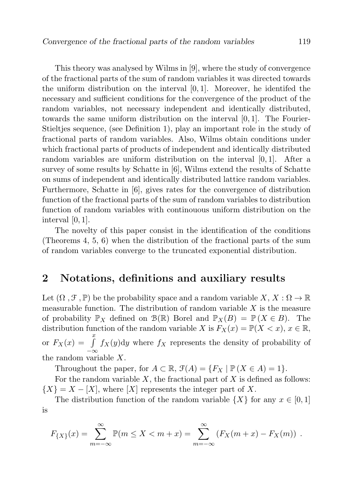This theory was analysed by Wilms in [9], where the study of convergence of the fractional parts of the sum of random variables it was directed towards the uniform distribution on the interval  $[0, 1]$ . Moreover, he identifed the necessary and sufficient conditions for the convergence of the product of the random variables, not necessary independent and identically distributed, towards the same uniform distribution on the interval [0, 1]. The Fourier-Stieltjes sequence, (see Definition 1), play an important role in the study of fractional parts of random variables. Also, Wilms obtain conditions under which fractional parts of products of independent and identically distributed random variables are uniform distribution on the interval [0, 1]. After a survey of some results by Schatte in [6], Wilms extend the results of Schatte on sums of independent and identically distributed lattice random variables. Furthermore, Schatte in [6], gives rates for the convergence of distribution function of the fractional parts of the sum of random variables to distribution function of random variables with continouous uniform distribution on the interval [0, 1].

The novelty of this paper consist in the identification of the conditions (Theorems 4, 5, 6) when the distribution of the fractional parts of the sum of random variables converge to the truncated exponential distribution.

#### 2 Notations, definitions and auxiliary results

Let  $(\Omega, \mathcal{F}, \mathbb{P})$  be the probability space and a random variable  $X, X : \Omega \to \mathbb{R}$ measurable function. The distribution of random variable  $X$  is the measure of probability  $\mathbb{P}_X$  defined on  $\mathcal{B}(\mathbb{R})$  Borel and  $\mathbb{P}_X(B) = \mathbb{P}(X \in B)$ . The distribution function of the random variable X is  $F_X(x) = \mathbb{P}(X < x), x \in \mathbb{R}$ , or  $F_X(x) = \int_0^x$ −∞  $f_X(y)$ dy where  $f_X$  represents the density of probability of the random variable X.

Throughout the paper, for  $A \subset \mathbb{R}$ ,  $\mathcal{F}(A) = \{F_X \mid \mathbb{P}(X \in A) = 1\}.$ 

For the random variable  $X$ , the fractional part of  $X$  is defined as follows:  ${X} = X - [X]$ , where  $[X]$  represents the integer part of X.

The distribution function of the random variable  $\{X\}$  for any  $x \in [0, 1]$ is

$$
F_{\{X\}}(x) = \sum_{m=-\infty}^{\infty} \mathbb{P}(m \le X < m + x) = \sum_{m=-\infty}^{\infty} \left( F_X(m+x) - F_X(m) \right) \, .
$$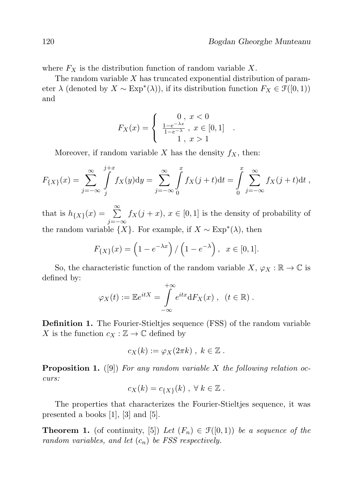where  $F_X$  is the distribution function of random variable X.

The random variable  $X$  has truncated exponential distribution of parameter  $\lambda$  (denoted by  $X \sim \text{Exp}^*(\lambda)$ ), if its distribution function  $F_X \in \mathcal{F}([0,1))$ and

$$
F_X(x) = \begin{cases} 0, & x < 0 \\ \frac{1 - e^{-\lambda x}}{1 - e^{-\lambda}}, & x \in [0, 1] \\ 1, & x > 1 \end{cases}.
$$

Moreover, if random variable X has the density  $f_X$ , then:

$$
F_{\{X\}}(x) = \sum_{j=-\infty}^{\infty} \int_{j}^{j+x} f_X(y) dy = \sum_{j=-\infty}^{\infty} \int_{0}^{x} f_X(j+t) dt = \int_{0}^{x} \sum_{j=-\infty}^{\infty} f_X(j+t) dt,
$$

that is  $h_{\{X\}}(x) = \sum_{n=1}^{\infty}$ j=−∞  $f_X(j+x), x \in [0,1]$  is the density of probability of the random variable  $\{X\}$ . For example, if  $X \sim \text{Exp}^*(\lambda)$ , then

$$
F_{\{X\}}(x) = \left(1 - e^{-\lambda x}\right) / \left(1 - e^{-\lambda}\right), \ \ x \in [0, 1].
$$

So, the characteristic function of the random variable  $X, \varphi_X : \mathbb{R} \to \mathbb{C}$  is defined by:

$$
\varphi_X(t) := \mathbb{E}e^{itX} = \int_{-\infty}^{+\infty} e^{itx} dF_X(x) , \quad (t \in \mathbb{R}).
$$

Definition 1. The Fourier-Stieltjes sequence (FSS) of the random variable X is the function  $c_X : \mathbb{Z} \to \mathbb{C}$  defined by

$$
c_X(k) := \varphi_X(2\pi k) , k \in \mathbb{Z} .
$$

**Proposition 1.** ([9]) For any random variable X the following relation occurs:

$$
c_X(k) = c_{\{X\}}(k) , \forall k \in \mathbb{Z} .
$$

The properties that characterizes the Fourier-Stieltjes sequence, it was presented a books [1], [3] and [5].

**Theorem 1.** (of continuity, [5]) Let  $(F_n) \in \mathcal{F}([0,1))$  be a sequence of the random variables, and let  $(c_n)$  be FSS respectively.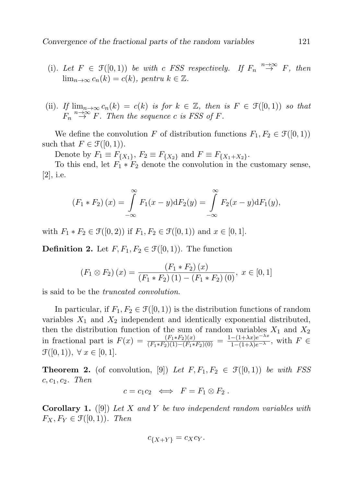- (i). Let  $F \in \mathcal{F}([0,1))$  be with c FSS respectively. If  $F_n \stackrel{n \to \infty}{\to} F$ , then  $\lim_{n\to\infty} c_n(k) = c(k)$ , pentru  $k \in \mathbb{Z}$ .
- (ii). If  $\lim_{n\to\infty} c_n(k) = c(k)$  is for  $k \in \mathbb{Z}$ , then is  $F \in \mathcal{F}([0,1))$  so that  $F_n \stackrel{n\to\infty}{\to} F$ . Then the sequence c is FSS of F.

We define the convolution F of distribution functions  $F_1, F_2 \in \mathcal{F}([0,1))$ such that  $F \in \mathcal{F}([0,1))$ .

Denote by  $F_1 \equiv F_{\{X_1\}}, F_2 \equiv F_{\{X_2\}}$  and  $F \equiv F_{\{X_1+X_2\}}$ .

To this end, let  $F_1 * F_2$  denote the convolution in the customary sense, [2], i.e.

$$
(F_1 * F_2)(x) = \int_{-\infty}^{\infty} F_1(x - y) dF_2(y) = \int_{-\infty}^{\infty} F_2(x - y) dF_1(y),
$$

with  $F_1 * F_2 \in \mathcal{F}([0, 2))$  if  $F_1, F_2 \in \mathcal{F}([0, 1))$  and  $x \in [0, 1]$ .

**Definition 2.** Let  $F, F_1, F_2 \in \mathcal{F}([0,1))$ . The function

$$
(F_1 \otimes F_2)(x) = \frac{(F_1 * F_2)(x)}{(F_1 * F_2)(1) - (F_1 * F_2)(0)}, x \in [0, 1]
$$

is said to be the truncated convolution.

In particular, if  $F_1, F_2 \in \mathcal{F}([0,1))$  is the distribution functions of random variables  $X_1$  and  $X_2$  independent and identically exponential distributed, then the distribution function of the sum of random variables  $X_1$  and  $X_2$ in fractional part is  $F(x) = \frac{(F_1 * F_2)(x)}{(F_1 * F_2)(1) - (F_1 * F_2)(0)} = \frac{1 - (1 + \lambda x)e^{-\lambda x}}{1 - (1 + \lambda)e^{-\lambda}}$ , with  $F \in$  $\mathcal{F}([0, 1)), \forall x \in [0, 1].$ 

**Theorem 2.** (of convolution, [9]) Let  $F, F_1, F_2 \in \mathcal{F}([0,1))$  be with FSS  $c, c_1, c_2$ . Then

$$
c = c_1 c_2 \iff F = F_1 \otimes F_2.
$$

**Corollary 1.** ([9]) Let X and Y be two independent random variables with  $F_X, F_Y \in \mathcal{F}([0,1))$ . Then

$$
c_{\{X+Y\}} = c_X c_Y.
$$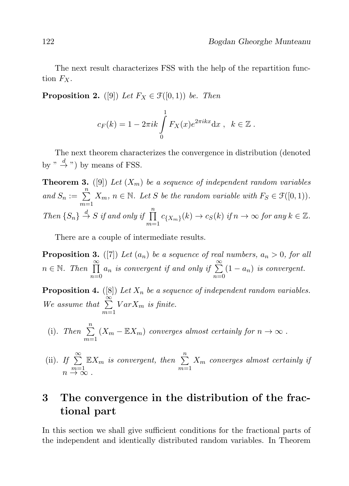The next result characterizes FSS with the help of the repartition function  $F_X$ .

**Proposition 2.** ([9]) Let  $F_X \in \mathcal{F}([0,1))$  be. Then

$$
c_F(k) = 1 - 2\pi i k \int\limits_0^1 F_X(x)e^{2\pi i kx} dx , \quad k \in \mathbb{Z} .
$$

The next theorem characterizes the convergence in distribution (denoted by "  $\stackrel{d}{\rightarrow}$  ") by means of FSS.

**Theorem 3.** ([9]) Let  $(X_m)$  be a sequence of independent random variables and  $S_n := \sum_{n=1}^n$  $\sum_{m=1}^{\infty} X_m$ ,  $n \in \mathbb{N}$ . Let S be the random variable with  $F_S \in \mathcal{F}([0,1))$ . Then  $\{S_n\} \stackrel{d}{\rightarrow} S$  if and only if  $\prod^n$  $\prod_{m=1}^{\infty} c_{\{X_m\}}(k) \to c_S(k)$  if  $n \to \infty$  for any  $k \in \mathbb{Z}$ .

There are a couple of intermediate results.

**Proposition 3.** ([7]) Let  $(a_n)$  be a sequence of real numbers,  $a_n > 0$ , for all  $n \in \mathbb{N}$ . Then  $\prod^{\infty}$  $n=0$  $a_n$  is convergent if and only if  $\sum^{\infty}$  $n=0$  $(1 - a_n)$  is convergent.

**Proposition 4.** ([8]) Let  $X_n$  be a sequence of independent random variables. We assume that  $\sum_{n=1}^{\infty}$  $m=1$  $Var X_m$  is finite.

(i). Then 
$$
\sum_{m=1}^{n} (X_m - \mathbb{E}X_m)
$$
 converges almost certainly for  $n \to \infty$ .

(ii). If 
$$
\sum_{m=1}^{\infty} \mathbb{E}X_m
$$
 is convergent, then  $\sum_{m=1}^{n} X_m$  converges almost certainly if  $n \to \infty$ .

## 3 The convergence in the distribution of the fractional part

In this section we shall give sufficient conditions for the fractional parts of the independent and identically distributed random variables. In Theorem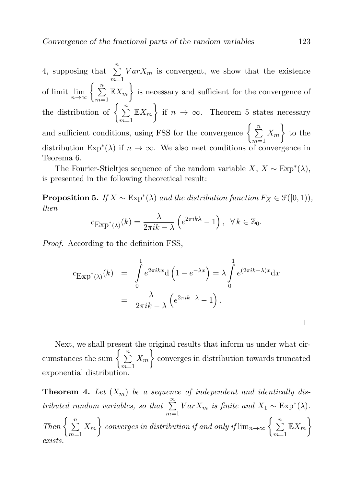4, supposing that  $\sum_{n=1}^{\infty}$  $m=1$  $Var X_m$  is convergent, we show that the existence of limit  $\lim_{n\to\infty} \left\{ \sum_{m=1}^n \mathbb{E}X_m \right\}$  is necessary and sufficient for the convergence of the distribution of  $\begin{cases} n \\ \sum_{n=1}^{\infty} \end{cases}$  $m=1$  $\mathbb{E} X_m$  if  $n \to \infty$ . Theorem 5 states necessary and sufficient conditions, using FSS for the convergence  $\begin{cases} \sum_{n=1}^{n} a_n \end{cases}$  $m=1$  $X_m$  to the distribution  $Exp^*(\lambda)$  if  $n \to \infty$ . We also neet conditions of convergence in Teorema 6.

The Fourier-Stieltjes sequence of the random variable  $X, X \sim \text{Exp}^*(\lambda)$ , is presented in the following theoretical result:

**Proposition 5.** If  $X \sim \text{Exp}^*(\lambda)$  and the distribution function  $F_X \in \mathcal{F}([0,1)),$ then

$$
c_{\text{Exp}^*(\lambda)}(k) = \frac{\lambda}{2\pi i k - \lambda} \left( e^{2\pi i k \lambda} - 1 \right), \ \ \forall \, k \in \mathbb{Z}_0.
$$

Proof. According to the definition FSS,

$$
c_{\text{Exp}^*(\lambda)}(k) = \int_0^1 e^{2\pi ikx} d\left(1 - e^{-\lambda x}\right) = \lambda \int_0^1 e^{(2\pi i k - \lambda)x} dx
$$
  
= 
$$
\frac{\lambda}{2\pi i k - \lambda} \left(e^{2\pi i k - \lambda} - 1\right).
$$

Next, we shall present the original results that inform us under what circumstances the sum  $\begin{cases} \frac{n}{\sum_{i=1}^{n} a_i}$  $m=1$  $X_m$  converges in distribution towards truncated exponential distribution.

**Theorem 4.** Let  $(X_m)$  be a sequence of independent and identically distributed random variables, so that  $\sum_{n=1}^{\infty}$  $m=1$  $Var X_m$  is finite and  $X_1 \sim Exp^*(\lambda)$ . Then  $\begin{cases} \frac{n}{2} \end{cases}$  $m=1$  $\{X_m\}$  converges in distribution if and only if  $\lim_{n\to\infty}\left\{\,\sum_{k=1}^n\frac{1}{n_k}\right\}$  $m=1$  $\mathbb{E} X_m\Big\}$ exists.

 $\Box$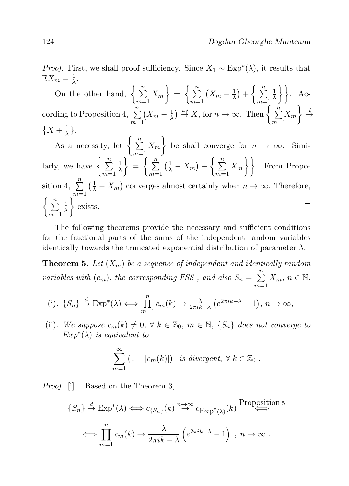*Proof.* First, we shall proof sufficiency. Since  $X_1 \sim \text{Exp}^*(\lambda)$ , it results that  $\mathbb{E}X_m=\frac{1}{\lambda}$  $\frac{1}{\lambda}$ .

On the other hand, 
$$
\left\{\sum_{m=1}^{n} X_m\right\} = \left\{\sum_{m=1}^{n} \left(X_m - \frac{1}{\lambda}\right) + \left\{\sum_{m=1}^{n} \frac{1}{\lambda}\right\}\right\}.
$$
 According to Proposition 4, 
$$
\sum_{m=1}^{n} \left(X_m - \frac{1}{\lambda}\right) \stackrel{a.s}{\to} X, \text{ for } n \to \infty.
$$
 Then 
$$
\left\{\sum_{m=1}^{n} X_m\right\} \stackrel{d}{\to} \left\{X + \frac{1}{\lambda}\right\}.
$$

 $+\overline{\lambda}$ *j*.<br>As a necessity, let  $\left\{\sum_{n=1}^{\infty} x_n\right\}$  $X_m$  be shall converge for  $n \to \infty$ . Simi $m=1$ larly, we have  $\begin{cases} \frac{n}{n} \end{cases}$  $\Big\} = \Big\{ \sum_{n=1}^{n}$  $\left(\frac{1}{\lambda}-X_m\right)+\left\{\sum_{n=1}^{\infty}$  $X_m$ }. From Propo-1 λ  $m=1$  $m=1$  $m=1$ sition 4,  $\sum_{n=1}^{\infty}$  $\left(\frac{1}{\lambda} - X_m\right)$  converges almost certainly when  $n \to \infty$ . Therefore,  $m=1$  $\left\{\begin{array}{c}\n\frac{n}{\sum}\n\end{array}\right.$  $\Big\}$  exists. 1  $\Box$ λ  $m=1$ 

The following theorems provide the necessary and sufficient conditions for the fractional parts of the sums of the independent random variables identically towards the truncated exponential distribution of parameter  $\lambda$ .

**Theorem 5.** Let  $(X_m)$  be a sequence of independent and identically random variables with  $(c_m)$ , the corresponding FSS, and also  $S_n = \sum_{n=1}^{n}$  $m=1$  $X_m$ ,  $n \in \mathbb{N}$ .

(i). 
$$
\{S_n\} \stackrel{d}{\to} \text{Exp}^*(\lambda) \Longleftrightarrow \prod_{m=1}^n c_m(k) \to \frac{\lambda}{2\pi i k - \lambda} (e^{2\pi i k - \lambda} - 1), n \to \infty,
$$

(ii). We suppose  $c_m(k) \neq 0, \forall k \in \mathbb{Z}_0, m \in \mathbb{N}, \{S_n\}$  does not converge to  $Exp^*(\lambda)$  is equivalent to

$$
\sum_{m=1}^{\infty} (1 - |c_m(k)|) \text{ is divergent, } \forall k \in \mathbb{Z}_0.
$$

Proof. [i]. Based on the Theorem 3,

$$
\{S_n\} \stackrel{d}{\to} \operatorname{Exp}^*(\lambda) \iff c_{\{S_n\}}(k) \stackrel{n \to \infty}{\to} c_{\operatorname{Exp}^*(\lambda)}(k) \stackrel{\text{Proposition 5}}{\longleftrightarrow}
$$

$$
\iff \prod_{m=1}^n c_m(k) \to \frac{\lambda}{2\pi i k - \lambda} \left(e^{2\pi i k - \lambda} - 1\right) , n \to \infty .
$$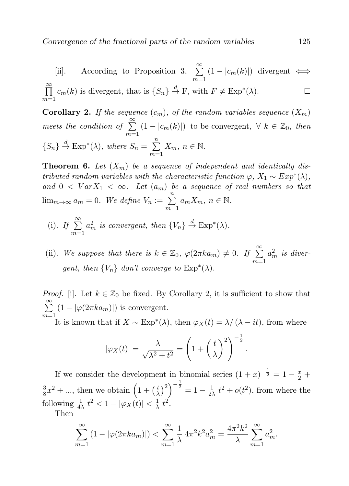[ii]. According to Proposition 3,  $\sum_{n=1}^{\infty}$  $(1 - |c_m(k)|)$  divergent  $\iff$  $m=1$  $\sum_{i=1}^{\infty}$  $c_m(k)$  is divergent, that is  $\{S_n\} \stackrel{d}{\to} \mathcal{F}$ , with  $F \neq \text{Exp}^*(\lambda)$ .  $\Box$  $m=1$ 

**Corollary 2.** If the sequence  $(c_m)$ , of the random variables sequence  $(X_m)$ meets the condition of  $\sum^{\infty}$  $m=1$  $(1 - |c_m(k)|)$  to be convergent,  $\forall k \in \mathbb{Z}_0$ , then  ${S_n} \stackrel{d}{\rightarrow} \text{Exp}^*(\lambda)$ , where  $S_n = \sum_{n=1}^{\infty}$  $m=1$  $X_m$ ,  $n \in \mathbb{N}$ .

**Theorem 6.** Let  $(X_m)$  be a sequence of independent and identically distributed random variables with the characteristic function  $\varphi$ ,  $X_1 \sim Exp^*(\lambda)$ , and  $0 < Var X_1 < \infty$ . Let  $(a_m)$  be a sequence of real numbers so that  $\lim_{m\to\infty} a_m = 0$ . We define  $V_n := \sum_{n=1}^n$  $m=1$  $a_m X_m$ ,  $n \in \mathbb{N}$ .

- (i). If  $\sum_{i=1}^{\infty}$  $m=1$  $a_m^2$  is convergent, then  $\{V_n\} \stackrel{d}{\rightarrow} \text{Exp}^*(\lambda)$ .
- (ii). We suppose that there is  $k \in \mathbb{Z}_0$ ,  $\varphi(2\pi ka_m) \neq 0$ . If  $\sum_{k=0}^{\infty}$  $m=1$  $a_m^2$  is divergent, then  $\{V_n\}$  don't converge to  $Exp^*(\lambda)$ .

*Proof.* [i]. Let  $k \in \mathbb{Z}_0$  be fixed. By Corollary 2, it is sufficient to show that  $\sum_{i=1}^{\infty}$  $m=1$  $(1 - |\varphi(2\pi k a_m)|)$  is convergent.

It is known that if  $X \sim \text{Exp}^*(\lambda)$ , then  $\varphi_X(t) = \lambda / (\lambda - it)$ , from where

.

$$
|\varphi_X(t)| = \frac{\lambda}{\sqrt{\lambda^2 + t^2}} = \left(1 + \left(\frac{t}{\lambda}\right)^2\right)^{-\frac{1}{2}}
$$

If we consider the development in binomial series  $(1+x)^{-\frac{1}{2}} = 1 - \frac{x}{2} +$ 3  $\frac{3}{8}x^2 + \dots$ , then we obtain  $\left(1 + \left(\frac{t}{\lambda}\right)\right)$  $\left(\frac{t}{\lambda}\right)^2\right)^{-\frac{1}{2}}=1-\frac{1}{22}$  $\frac{1}{2\lambda} t^2 + o(t^2)$ , from where the following  $\frac{1}{4\lambda} t^2 < 1 - |\varphi_X(t)| < \frac{1}{\lambda}$  $\frac{1}{\lambda} t^2$ .

Then

$$
\sum_{m=1}^{\infty} (1 - |\varphi(2\pi k a_m)|) < \sum_{m=1}^{\infty} \frac{1}{\lambda} 4\pi^2 k^2 a_m^2 = \frac{4\pi^2 k^2}{\lambda} \sum_{m=1}^{\infty} a_m^2.
$$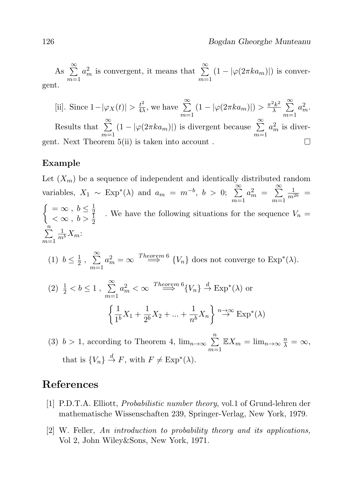As  $\sum^{\infty}$  $m=1$  $a_m^2$  is convergent, it means that  $\sum_{m=1}^{\infty}$  $(1 - |\varphi(2\pi k a_m)|)$  is convergent.

 $rac{t^2}{4\lambda}$ , we have  $\sum^{\infty}$  $\frac{2k^2}{\lambda}$   $\sum^{\infty}$ [ii]. Since  $1-|\varphi_X(t)| > \frac{t^2}{4\lambda}$  $(1 - |\varphi(2\pi k a_m)|) > \frac{\pi^2 k^2}{\lambda}$  $a_m^2$ .  $m=1$  $m=1$ Results that  $\sum_{n=1}^{\infty}$  $(1 - |\varphi(2\pi ka_m)|)$  is divergent because  $\sum_{n=1}^{\infty}$  $a_m^2$  is diver $m=1$  $m=1$ gent. Next Theorem 5(ii) is taken into account .  $\Box$ 

#### Example

Let  $(X_m)$  be a sequence of independent and identically distributed random variables,  $X_1 \sim \text{Exp}^*(\lambda)$  and  $a_m = m^{-b}, b > 0; \sum_{n=0}^{\infty}$  $m=1$  $a_m^2 = \sum_{m=1}^{\infty}$  $m=1$  $\frac{1}{m^{2b}} =$  $\int = \infty$ ,  $b \leq \frac{1}{2}$  $=$   $\infty$ ,  $b \geq \frac{1}{2}$ <br>  $< \infty$ ,  $b > \frac{1}{2}$ . We have the following situations for the sequence  $V_n =$  $\sum_{n=1}^{\infty}$  $m=1$  $\frac{1}{m^b}X_m$ :

(1) 
$$
b \le \frac{1}{2}
$$
,  $\sum_{m=1}^{\infty} a_m^2 = \infty$   $\stackrel{Theorem 6}{\implies} \{V_n\}$  does not converge to  $\text{Exp}^*(\lambda)$ .

$$
(2) \frac{1}{2} < b \le 1, \sum_{m=1}^{\infty} a_m^2 < \infty \xrightarrow{Theorem 6} \{V_n\} \xrightarrow{d} \operatorname{Exp}^*(\lambda) \text{ or}
$$

$$
\left\{\frac{1}{1^b}X_1 + \frac{1}{2^b}X_2 + \dots + \frac{1}{n^b}X_n\right\} \xrightarrow{n \to \infty} \operatorname{Exp}^*(\lambda)
$$

(3)  $b > 1$ , according to Theorem 4,  $\lim_{n \to \infty} \sum_{n=1}^{n}$  $m=1$  $\mathbb{E}X_m = \lim_{n \to \infty} \frac{n}{\lambda} = \infty,$ that is  $\{V_n\} \stackrel{d}{\to} F$ , with  $F \neq \text{Exp}^*(\lambda)$ .

### References

- [1] P.D.T.A. Elliott, Probabilistic number theory, vol.1 of Grund-lehren der mathematische Wissenschaften 239, Springer-Verlag, New York, 1979.
- [2] W. Feller, An introduction to probability theory and its applications, Vol 2, John Wiley&Sons, New York, 1971.